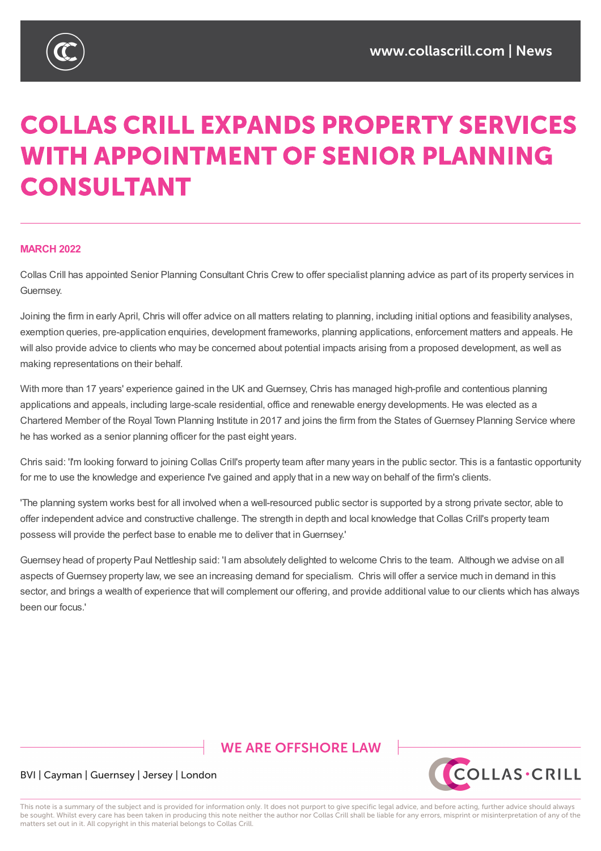

# **COLLAS CRILL EXPANDS PROPERTY SERVICES WITH APPOINTMENT OF SENIOR PLANNING CONSULTANT**

### **MARCH 2022**

Collas Crill has appointed Senior Planning Consultant Chris Crew to offer specialist planning advice as part of its property services in Guernsey.

Joining the firm in early April, Chris will offer advice on all matters relating to planning, including initial options and feasibility analyses, exemption queries, pre-application enquiries, development frameworks, planning applications, enforcement matters and appeals. He will also provide advice to clients who may be concerned about potential impacts arising from a proposed development, as well as making representations on their behalf.

With more than 17 years' experience gained in the UK and Guernsey, Chris has managed high-profile and contentious planning applications and appeals, including large-scale residential, office and renewable energy developments. He was elected as a Chartered Member of the Royal Town Planning Institute in 2017 and joins the firm from the States of Guernsey Planning Service where he has worked as a senior planning officer for the past eight years.

Chris said: 'I'm looking forward to joining Collas Crill's property team after many years in the public sector. This is a fantastic opportunity for me to use the knowledge and experience I've gained and apply that in a new way on behalf of the firm's clients.

'The planning system works best for all involved when a well-resourced public sector is supported by a strong private sector, able to offer independent advice and constructive challenge. The strength in depth and local knowledge that Collas Crill's property team possess will provide the perfect base to enable me to deliver that inGuernsey.'

Guernsey head of property Paul Nettleship said: 'I am absolutely delighted to welcome Chris to the team. Although we advise on all aspects of Guernsey property law, we see an increasing demand for specialism. Chris will offer a service much in demand in this sector, and brings a wealth of experience that will complement our offering, and provide additional value to our clients which has always been our focus.'

# **WE ARE OFFSHORE I AW**



## BVI | Cayman | Guernsey | Jersey | London

This note is a summary of the subject and is provided for information only. It does not purport to give specific legal advice, and before acting, further advice should always be sought. Whilst every care has been taken in producing this note neither the author nor Collas Crill shall be liable for any errors, misprint or misinterpretation of any of the matters set out in it. All copyright in this material belongs to Collas Crill.